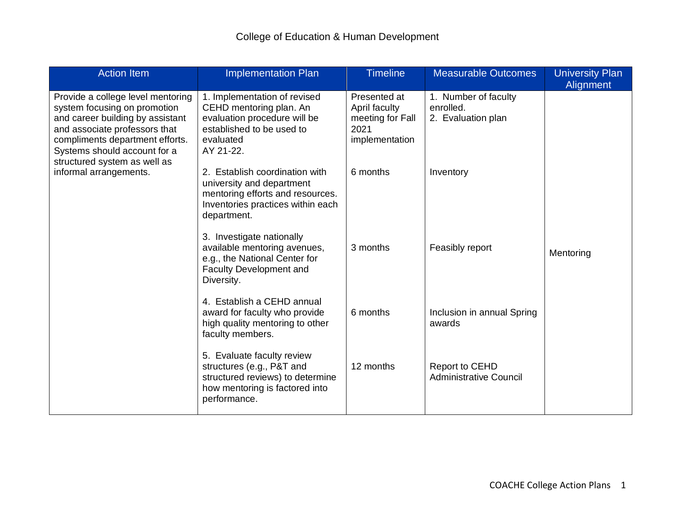| <b>Action Item</b>                                                                                                                                                                                                                                                  | <b>Implementation Plan</b>                                                                                                                          | <b>Timeline</b>                                                             | <b>Measurable Outcomes</b>                              | <b>University Plan</b><br>Alignment |
|---------------------------------------------------------------------------------------------------------------------------------------------------------------------------------------------------------------------------------------------------------------------|-----------------------------------------------------------------------------------------------------------------------------------------------------|-----------------------------------------------------------------------------|---------------------------------------------------------|-------------------------------------|
| Provide a college level mentoring<br>system focusing on promotion<br>and career building by assistant<br>and associate professors that<br>compliments department efforts.<br>Systems should account for a<br>structured system as well as<br>informal arrangements. | 1. Implementation of revised<br>CEHD mentoring plan. An<br>evaluation procedure will be<br>established to be used to<br>evaluated<br>AY 21-22.      | Presented at<br>April faculty<br>meeting for Fall<br>2021<br>implementation | 1. Number of faculty<br>enrolled.<br>2. Evaluation plan |                                     |
|                                                                                                                                                                                                                                                                     | 2. Establish coordination with<br>university and department<br>mentoring efforts and resources.<br>Inventories practices within each<br>department. | 6 months                                                                    | Inventory                                               |                                     |
|                                                                                                                                                                                                                                                                     | 3. Investigate nationally<br>available mentoring avenues,<br>e.g., the National Center for<br><b>Faculty Development and</b><br>Diversity.          | 3 months                                                                    | Feasibly report                                         | Mentoring                           |
|                                                                                                                                                                                                                                                                     | 4. Establish a CEHD annual<br>award for faculty who provide<br>high quality mentoring to other<br>faculty members.                                  | 6 months                                                                    | Inclusion in annual Spring<br>awards                    |                                     |
|                                                                                                                                                                                                                                                                     | 5. Evaluate faculty review<br>structures (e.g., P&T and<br>structured reviews) to determine<br>how mentoring is factored into<br>performance.       | 12 months                                                                   | <b>Report to CEHD</b><br><b>Administrative Council</b>  |                                     |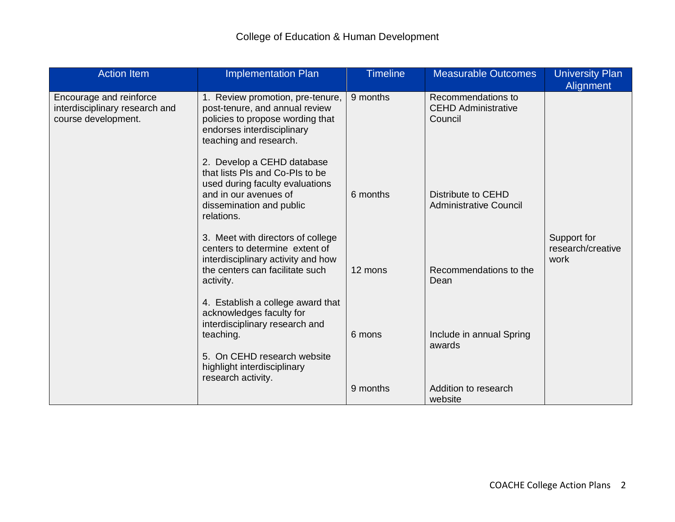| <b>Action Item</b>                                                               | <b>Implementation Plan</b>                                                                                                                                                                       | <b>Timeline</b> | <b>Measurable Outcomes</b>                                  | <b>University Plan</b><br>Alignment      |
|----------------------------------------------------------------------------------|--------------------------------------------------------------------------------------------------------------------------------------------------------------------------------------------------|-----------------|-------------------------------------------------------------|------------------------------------------|
| Encourage and reinforce<br>interdisciplinary research and<br>course development. | 1. Review promotion, pre-tenure,<br>post-tenure, and annual review<br>policies to propose wording that<br>endorses interdisciplinary<br>teaching and research.                                   | 9 months        | Recommendations to<br><b>CEHD Administrative</b><br>Council |                                          |
|                                                                                  | 2. Develop a CEHD database<br>that lists PIs and Co-PIs to be<br>used during faculty evaluations<br>and in our avenues of<br>dissemination and public<br>relations.                              | 6 months        | <b>Distribute to CEHD</b><br><b>Administrative Council</b>  |                                          |
|                                                                                  | 3. Meet with directors of college<br>centers to determine extent of<br>interdisciplinary activity and how<br>the centers can facilitate such<br>activity.                                        | 12 mons         | Recommendations to the<br>Dean                              | Support for<br>research/creative<br>work |
|                                                                                  | 4. Establish a college award that<br>acknowledges faculty for<br>interdisciplinary research and<br>teaching.<br>5. On CEHD research website<br>highlight interdisciplinary<br>research activity. | 6 mons          | Include in annual Spring<br>awards                          |                                          |
|                                                                                  |                                                                                                                                                                                                  | 9 months        | Addition to research<br>website                             |                                          |